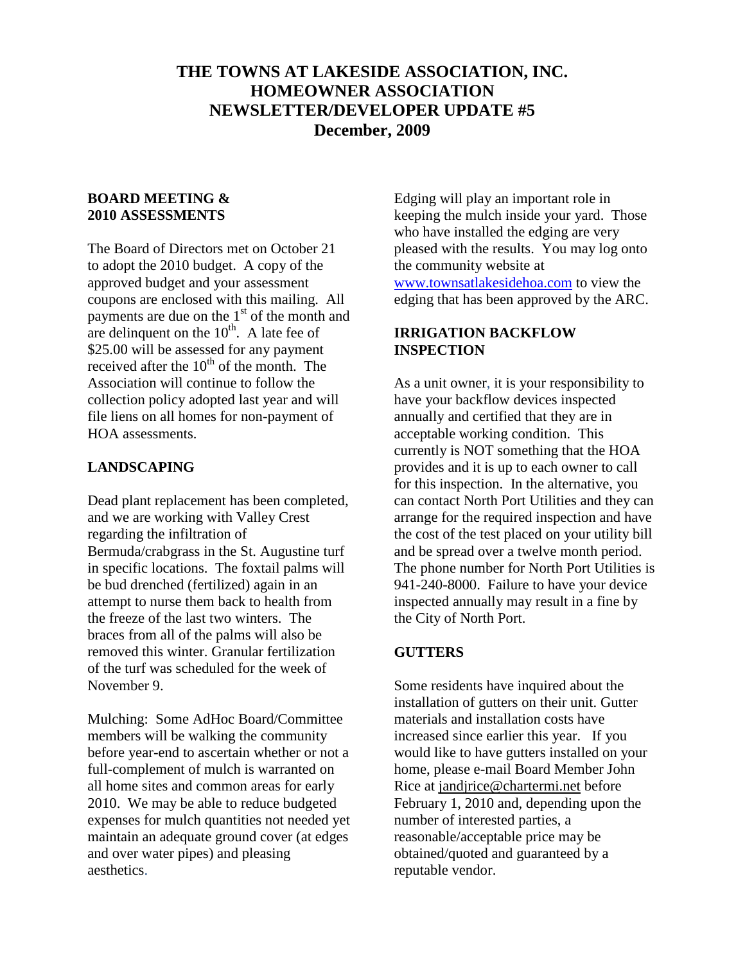# **THE TOWNS AT LAKESIDE ASSOCIATION, INC. HOMEOWNER ASSOCIATION NEWSLETTER/DEVELOPER UPDATE #5 December, 2009**

#### **BOARD MEETING & 2010 ASSESSMENTS**

The Board of Directors met on October 21 to adopt the 2010 budget. A copy of the approved budget and your assessment coupons are enclosed with this mailing. All payments are due on the  $1<sup>st</sup>$  of the month and are delinquent on the  $10<sup>th</sup>$ . A late fee of \$25.00 will be assessed for any payment received after the  $10^{th}$  of the month. The Association will continue to follow the collection policy adopted last year and will file liens on all homes for non-payment of HOA assessments.

#### **LANDSCAPING**

Dead plant replacement has been completed, and we are working with Valley Crest regarding the infiltration of Bermuda/crabgrass in the St. Augustine turf in specific locations. The foxtail palms will be bud drenched (fertilized) again in an attempt to nurse them back to health from the freeze of the last two winters. The braces from all of the palms will also be removed this winter. Granular fertilization of the turf was scheduled for the week of November 9.

Mulching: Some AdHoc Board/Committee members will be walking the community before year-end to ascertain whether or not a full-complement of mulch is warranted on all home sites and common areas for early 2010. We may be able to reduce budgeted expenses for mulch quantities not needed yet maintain an adequate ground cover (at edges and over water pipes) and pleasing aesthetics.

Edging will play an important role in keeping the mulch inside your yard. Those who have installed the edging are very pleased with the results. You may log onto the community website at [www.townsatlakesidehoa.com](http://www.townsatlakesidehoa.com/) to view the edging that has been approved by the ARC.

## **IRRIGATION BACKFLOW INSPECTION**

As a unit owner, it is your responsibility to have your backflow devices inspected annually and certified that they are in acceptable working condition. This currently is NOT something that the HOA provides and it is up to each owner to call for this inspection. In the alternative, you can contact North Port Utilities and they can arrange for the required inspection and have the cost of the test placed on your utility bill and be spread over a twelve month period. The phone number for North Port Utilities is 941-240-8000. Failure to have your device inspected annually may result in a fine by the City of North Port.

#### **GUTTERS**

Some residents have inquired about the installation of gutters on their unit. Gutter materials and installation costs have increased since earlier this year. If you would like to have gutters installed on your home, please e-mail Board Member John Rice at [jandjrice@chartermi.net](mailto:jandjrice@chartermi.net) before February 1, 2010 and, depending upon the number of interested parties, a reasonable/acceptable price may be obtained/quoted and guaranteed by a reputable vendor.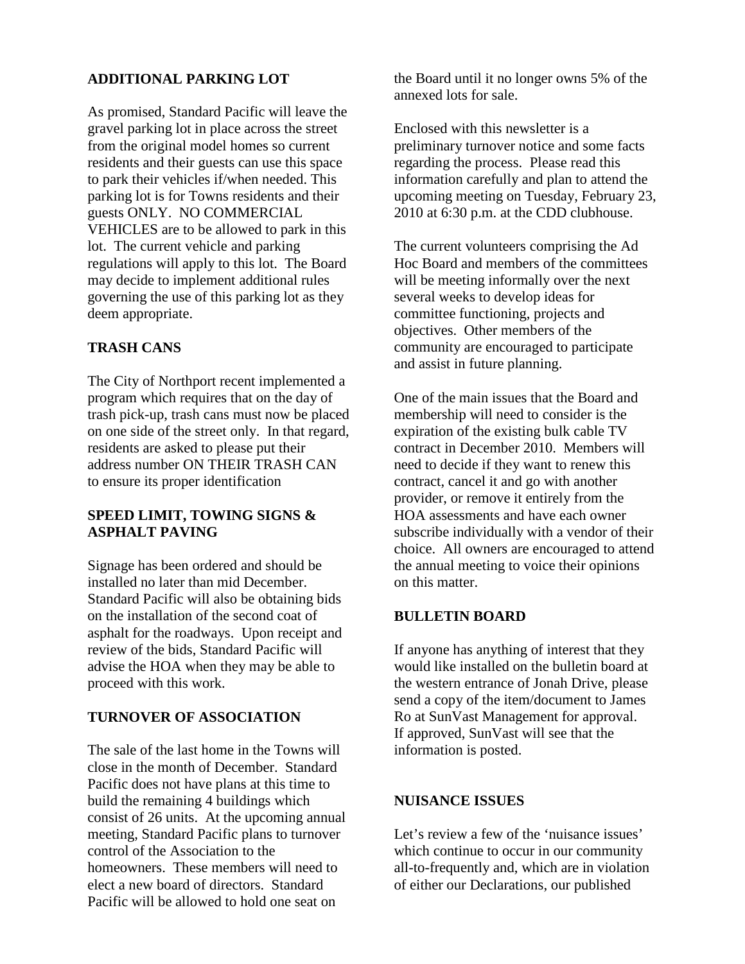#### **ADDITIONAL PARKING LOT**

As promised, Standard Pacific will leave the gravel parking lot in place across the street from the original model homes so current residents and their guests can use this space to park their vehicles if/when needed. This parking lot is for Towns residents and their guests ONLY. NO COMMERCIAL VEHICLES are to be allowed to park in this lot. The current vehicle and parking regulations will apply to this lot. The Board may decide to implement additional rules governing the use of this parking lot as they deem appropriate.

## **TRASH CANS**

The City of Northport recent implemented a program which requires that on the day of trash pick-up, trash cans must now be placed on one side of the street only. In that regard, residents are asked to please put their address number ON THEIR TRASH CAN to ensure its proper identification

#### **SPEED LIMIT, TOWING SIGNS & ASPHALT PAVING**

Signage has been ordered and should be installed no later than mid December. Standard Pacific will also be obtaining bids on the installation of the second coat of asphalt for the roadways. Upon receipt and review of the bids, Standard Pacific will advise the HOA when they may be able to proceed with this work.

## **TURNOVER OF ASSOCIATION**

The sale of the last home in the Towns will close in the month of December. Standard Pacific does not have plans at this time to build the remaining 4 buildings which consist of 26 units. At the upcoming annual meeting, Standard Pacific plans to turnover control of the Association to the homeowners. These members will need to elect a new board of directors. Standard Pacific will be allowed to hold one seat on

the Board until it no longer owns 5% of the annexed lots for sale.

Enclosed with this newsletter is a preliminary turnover notice and some facts regarding the process. Please read this information carefully and plan to attend the upcoming meeting on Tuesday, February 23, 2010 at 6:30 p.m. at the CDD clubhouse.

The current volunteers comprising the Ad Hoc Board and members of the committees will be meeting informally over the next several weeks to develop ideas for committee functioning, projects and objectives. Other members of the community are encouraged to participate and assist in future planning.

One of the main issues that the Board and membership will need to consider is the expiration of the existing bulk cable TV contract in December 2010. Members will need to decide if they want to renew this contract, cancel it and go with another provider, or remove it entirely from the HOA assessments and have each owner subscribe individually with a vendor of their choice. All owners are encouraged to attend the annual meeting to voice their opinions on this matter.

# **BULLETIN BOARD**

If anyone has anything of interest that they would like installed on the bulletin board at the western entrance of Jonah Drive, please send a copy of the item/document to James Ro at SunVast Management for approval. If approved, SunVast will see that the information is posted.

#### **NUISANCE ISSUES**

Let's review a few of the 'nuisance issues' which continue to occur in our community all-to-frequently and, which are in violation of either our Declarations, our published